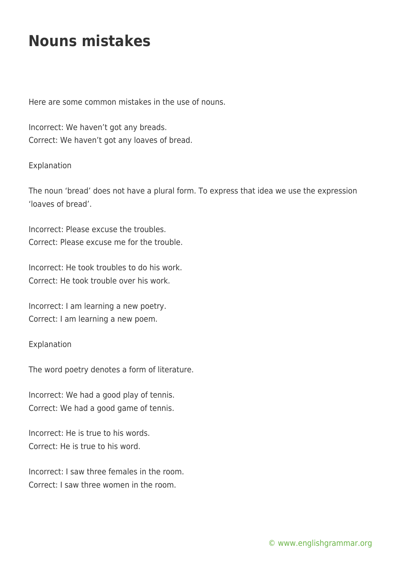## **Nouns mistakes**

Here are some common mistakes in the use of nouns.

Incorrect: We haven't got any breads. Correct: We haven't got any loaves of bread.

## Explanation

The noun 'bread' does not have a plural form. To express that idea we use the expression 'loaves of bread'.

Incorrect: Please excuse the troubles. Correct: Please excuse me for the trouble.

Incorrect: He took troubles to do his work. Correct: He took trouble over his work.

Incorrect: I am learning a new poetry. Correct: I am learning a new poem.

## Explanation

The word poetry denotes a form of literature.

Incorrect: We had a good play of tennis. Correct: We had a good game of tennis.

Incorrect: He is true to his words. Correct: He is true to his word.

Incorrect: I saw three females in the room. Correct: I saw three women in the room.